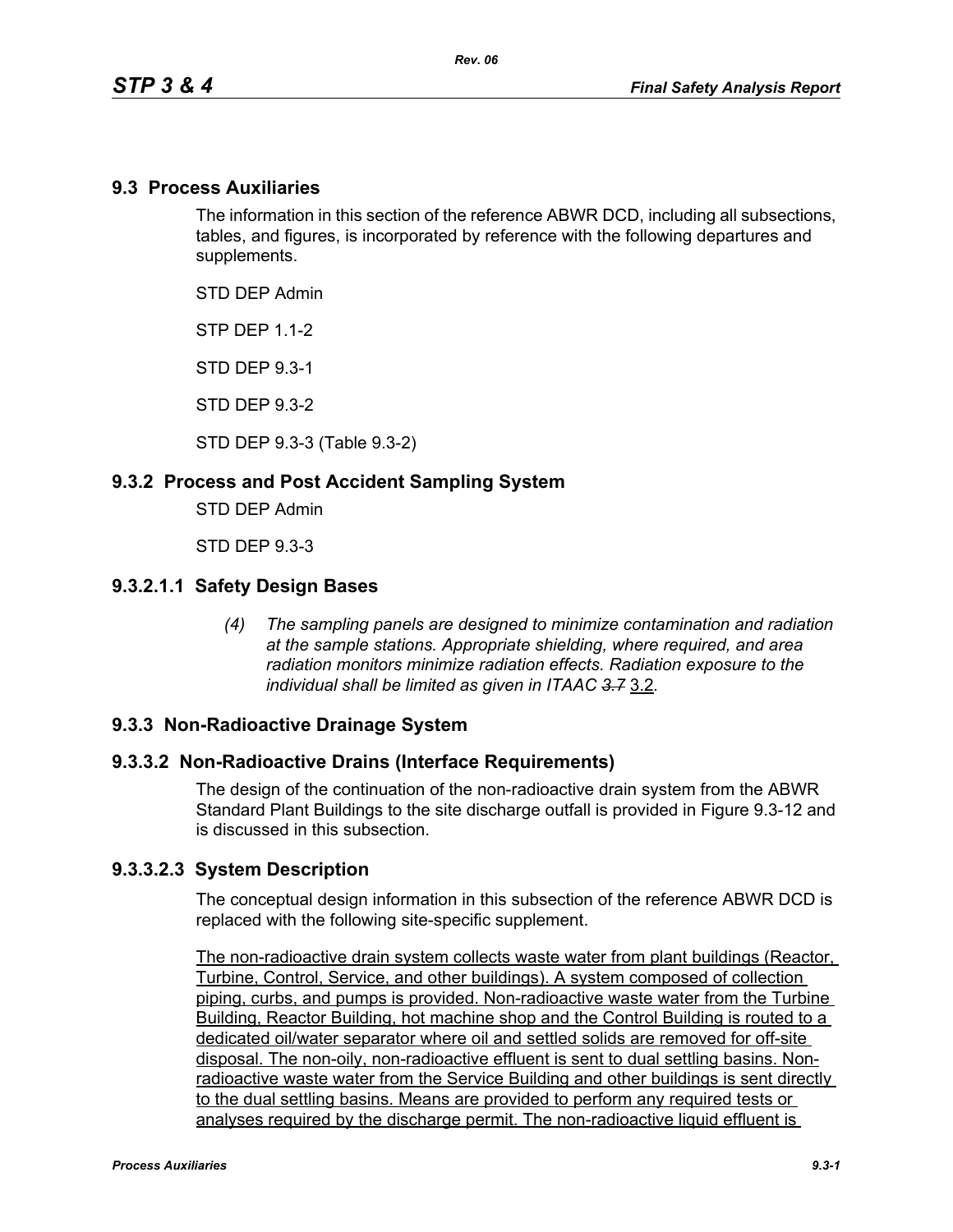### **9.3 Process Auxiliaries**

The information in this section of the reference ABWR DCD, including all subsections, tables, and figures, is incorporated by reference with the following departures and supplements.

STD DEP Admin

**STP DFP 1 1-2** 

STD DEP 9.3-1

STD DEP 9.3-2

STD DEP 9.3-3 (Table 9.3-2)

### **9.3.2 Process and Post Accident Sampling System**

STD DEP Admin

STD DEP 9.3-3

#### **9.3.2.1.1 Safety Design Bases**

*(4) The sampling panels are designed to minimize contamination and radiation at the sample stations. Appropriate shielding, where required, and area radiation monitors minimize radiation effects. Radiation exposure to the individual shall be limited as given in ITAAC 3.7* 3.2*.*

#### **9.3.3 Non-Radioactive Drainage System**

#### **9.3.3.2 Non-Radioactive Drains (Interface Requirements)**

The design of the continuation of the non-radioactive drain system from the ABWR Standard Plant Buildings to the site discharge outfall is provided in Figure 9.3-12 and is discussed in this subsection.

#### **9.3.3.2.3 System Description**

The conceptual design information in this subsection of the reference ABWR DCD is replaced with the following site-specific supplement.

The non-radioactive drain system collects waste water from plant buildings (Reactor, Turbine, Control, Service, and other buildings). A system composed of collection piping, curbs, and pumps is provided. Non-radioactive waste water from the Turbine Building, Reactor Building, hot machine shop and the Control Building is routed to a dedicated oil/water separator where oil and settled solids are removed for off-site disposal. The non-oily, non-radioactive effluent is sent to dual settling basins. Nonradioactive waste water from the Service Building and other buildings is sent directly to the dual settling basins. Means are provided to perform any required tests or analyses required by the discharge permit. The non-radioactive liquid effluent is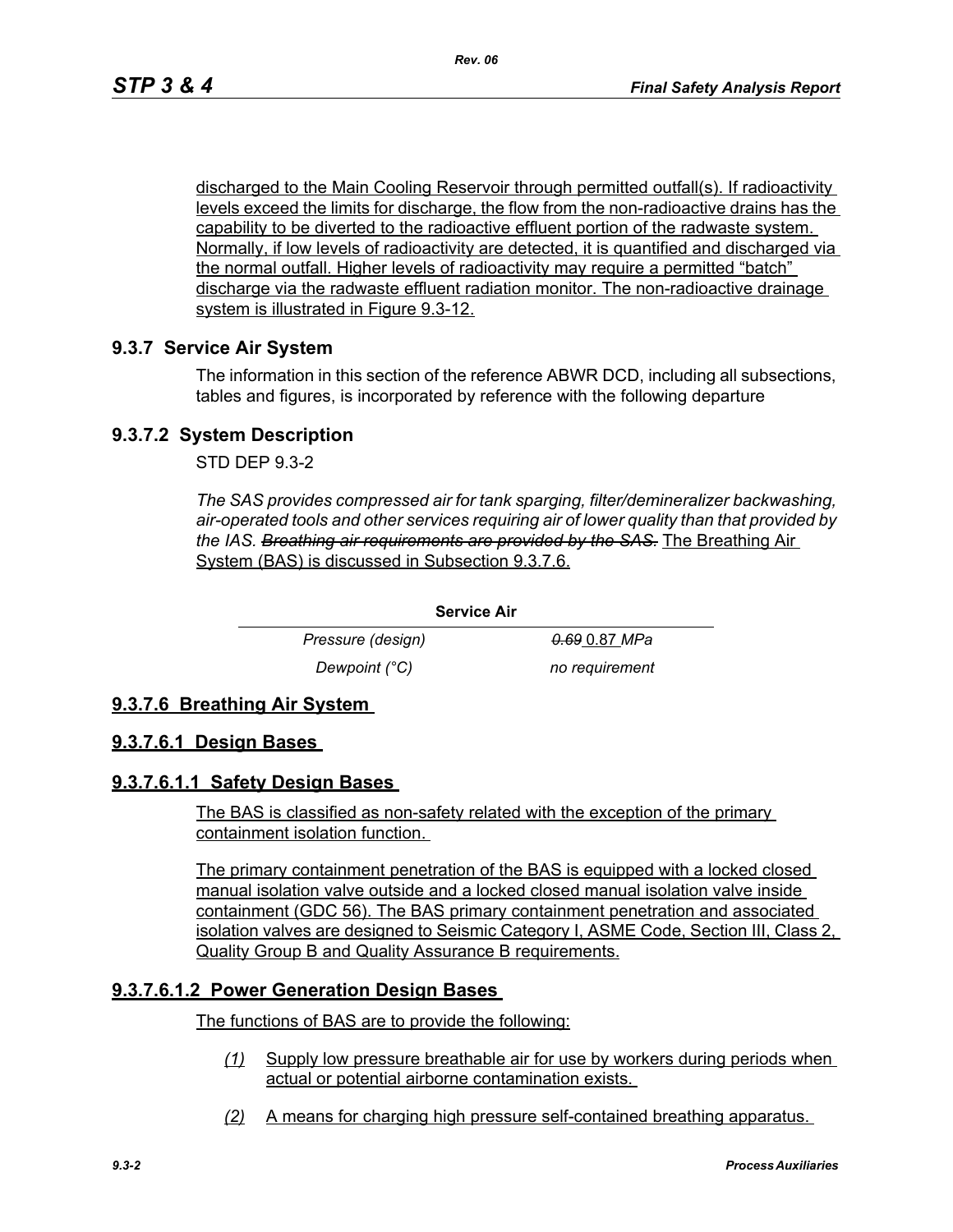discharged to the Main Cooling Reservoir through permitted outfall(s). If radioactivity levels exceed the limits for discharge, the flow from the non-radioactive drains has the capability to be diverted to the radioactive effluent portion of the radwaste system. Normally, if low levels of radioactivity are detected, it is quantified and discharged via the normal outfall. Higher levels of radioactivity may require a permitted "batch" discharge via the radwaste effluent radiation monitor. The non-radioactive drainage system is illustrated in Figure 9.3-12.

## **9.3.7 Service Air System**

The information in this section of the reference ABWR DCD, including all subsections, tables and figures, is incorporated by reference with the following departure

### **9.3.7.2 System Description**

STD DEP 9.3-2

*The SAS provides compressed air for tank sparging, filter/demineralizer backwashing, air-operated tools and other services requiring air of lower quality than that provided by the IAS. Breathing air requirements are provided by the SAS.* The Breathing Air System (BAS) is discussed in Subsection 9.3.7.6.

> *Pressure (design) 0.69* 0.87 *MPa Dewpoint (°C)* no requirement

## **9.3.7.6 Breathing Air System**

#### **9.3.7.6.1 Design Bases**

#### **9.3.7.6.1.1 Safety Design Bases**

The BAS is classified as non-safety related with the exception of the primary containment isolation function.

**Service Air**

The primary containment penetration of the BAS is equipped with a locked closed manual isolation valve outside and a locked closed manual isolation valve inside containment (GDC 56). The BAS primary containment penetration and associated isolation valves are designed to Seismic Category I, ASME Code, Section III, Class 2, Quality Group B and Quality Assurance B requirements.

## **9.3.7.6.1.2 Power Generation Design Bases**

The functions of BAS are to provide the following:

- *(1)* Supply low pressure breathable air for use by workers during periods when actual or potential airborne contamination exists.
- *(2)* A means for charging high pressure self-contained breathing apparatus.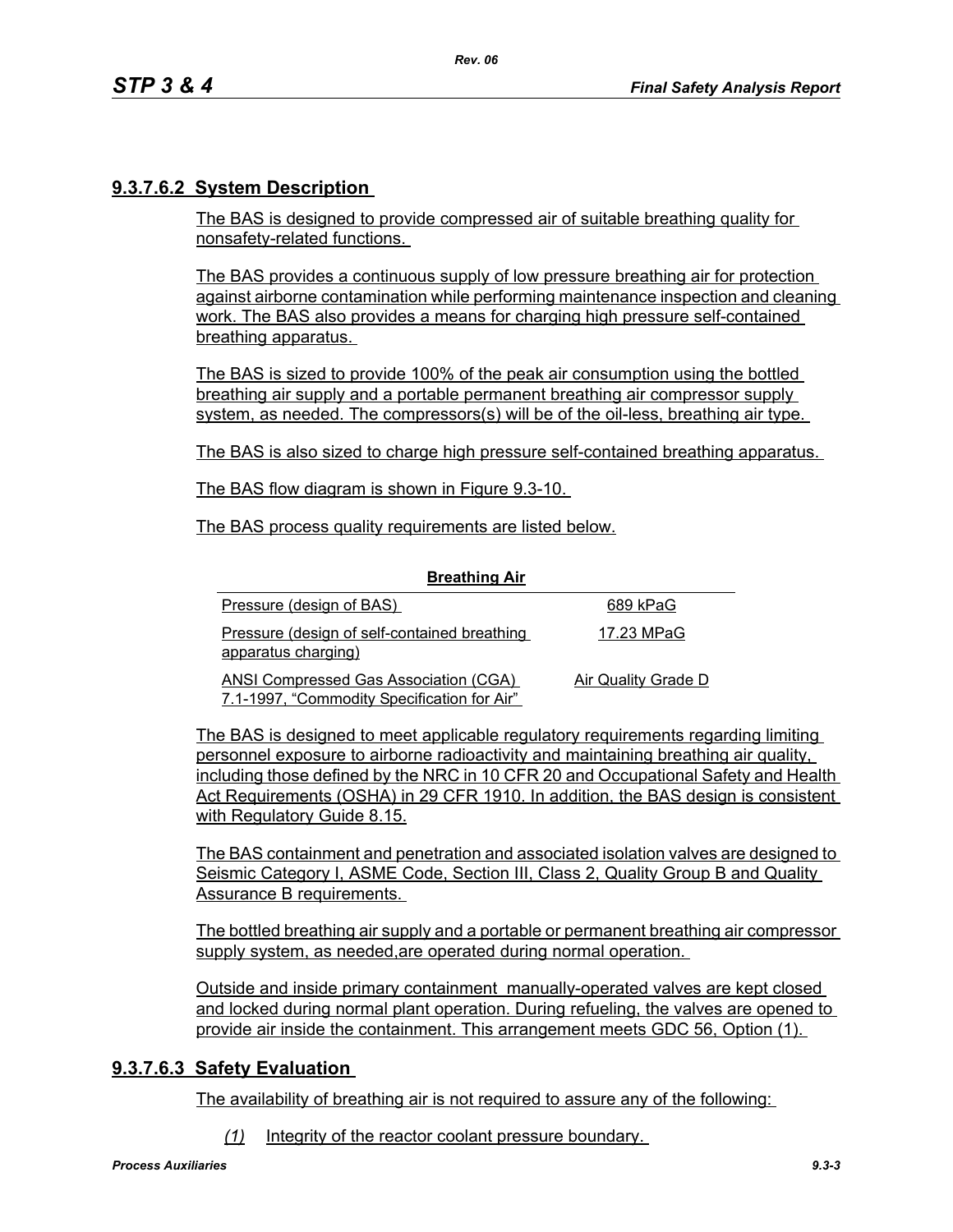# **9.3.7.6.2 System Description**

The BAS is designed to provide compressed air of suitable breathing quality for nonsafety-related functions.

The BAS provides a continuous supply of low pressure breathing air for protection against airborne contamination while performing maintenance inspection and cleaning work. The BAS also provides a means for charging high pressure self-contained breathing apparatus.

The BAS is sized to provide 100% of the peak air consumption using the bottled breathing air supply and a portable permanent breathing air compressor supply system, as needed. The compressors(s) will be of the oil-less, breathing air type.

The BAS is also sized to charge high pressure self-contained breathing apparatus.

The BAS flow diagram is shown in Figure 9.3-10.

The BAS process quality requirements are listed below.

| <b>Breathing Air</b>                                                                        |                     |
|---------------------------------------------------------------------------------------------|---------------------|
| Pressure (design of BAS)                                                                    | 689 kPaG            |
| Pressure (design of self-contained breathing<br>apparatus charging)                         | 17.23 MPaG          |
| <b>ANSI Compressed Gas Association (CGA)</b><br>7.1-1997, "Commodity Specification for Air" | Air Quality Grade D |

**Breathing Air**

The BAS is designed to meet applicable regulatory requirements regarding limiting personnel exposure to airborne radioactivity and maintaining breathing air quality, including those defined by the NRC in 10 CFR 20 and Occupational Safety and Health Act Requirements (OSHA) in 29 CFR 1910. In addition, the BAS design is consistent with Regulatory Guide 8.15.

The BAS containment and penetration and associated isolation valves are designed to Seismic Category I, ASME Code, Section III, Class 2, Quality Group B and Quality Assurance B requirements.

The bottled breathing air supply and a portable or permanent breathing air compressor supply system, as needed,are operated during normal operation.

Outside and inside primary containment manually-operated valves are kept closed and locked during normal plant operation. During refueling, the valves are opened to provide air inside the containment. This arrangement meets GDC 56, Option (1).

## **9.3.7.6.3 Safety Evaluation**

The availability of breathing air is not required to assure any of the following:

*(1)* Integrity of the reactor coolant pressure boundary.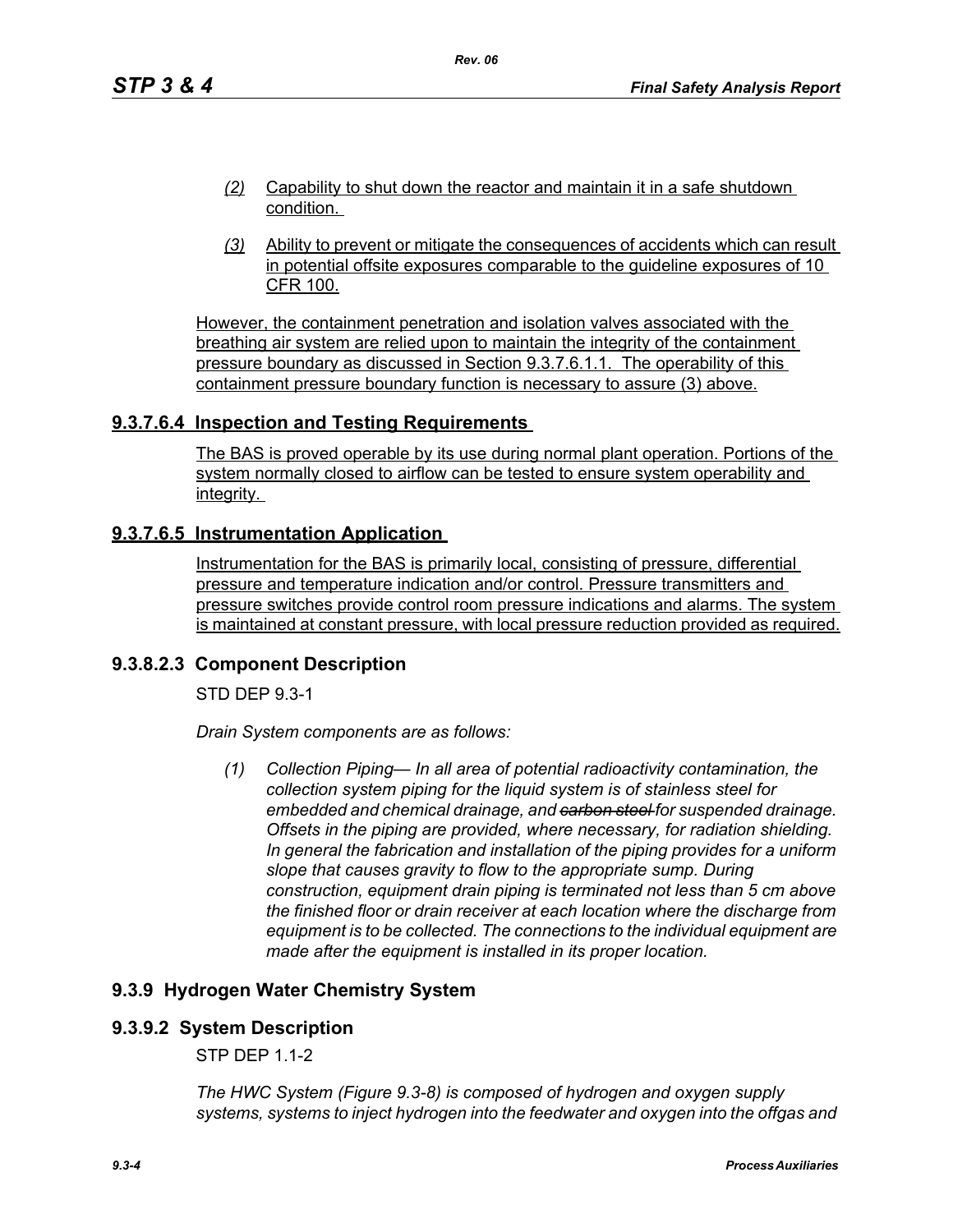- *(2)* Capability to shut down the reactor and maintain it in a safe shutdown condition.
- *(3)* Ability to prevent or mitigate the consequences of accidents which can result in potential offsite exposures comparable to the guideline exposures of 10 CFR 100.

However, the containment penetration and isolation valves associated with the breathing air system are relied upon to maintain the integrity of the containment pressure boundary as discussed in Section 9.3.7.6.1.1. The operability of this containment pressure boundary function is necessary to assure (3) above.

## **9.3.7.6.4 Inspection and Testing Requirements**

The BAS is proved operable by its use during normal plant operation. Portions of the system normally closed to airflow can be tested to ensure system operability and integrity.

## **9.3.7.6.5 Instrumentation Application**

Instrumentation for the BAS is primarily local, consisting of pressure, differential pressure and temperature indication and/or control. Pressure transmitters and pressure switches provide control room pressure indications and alarms. The system is maintained at constant pressure, with local pressure reduction provided as required.

#### **9.3.8.2.3 Component Description**

STD DEP 9.3-1

*Drain System components are as follows:*

*(1) Collection Piping— In all area of potential radioactivity contamination, the collection system piping for the liquid system is of stainless steel for embedded and chemical drainage, and carbon steel for suspended drainage. Offsets in the piping are provided, where necessary, for radiation shielding. In general the fabrication and installation of the piping provides for a uniform slope that causes gravity to flow to the appropriate sump. During construction, equipment drain piping is terminated not less than 5 cm above the finished floor or drain receiver at each location where the discharge from equipment is to be collected. The connections to the individual equipment are made after the equipment is installed in its proper location.*

## **9.3.9 Hydrogen Water Chemistry System**

#### **9.3.9.2 System Description**

STP DEP 1.1-2

*The HWC System (Figure 9.3-8) is composed of hydrogen and oxygen supply systems, systems to inject hydrogen into the feedwater and oxygen into the offgas and*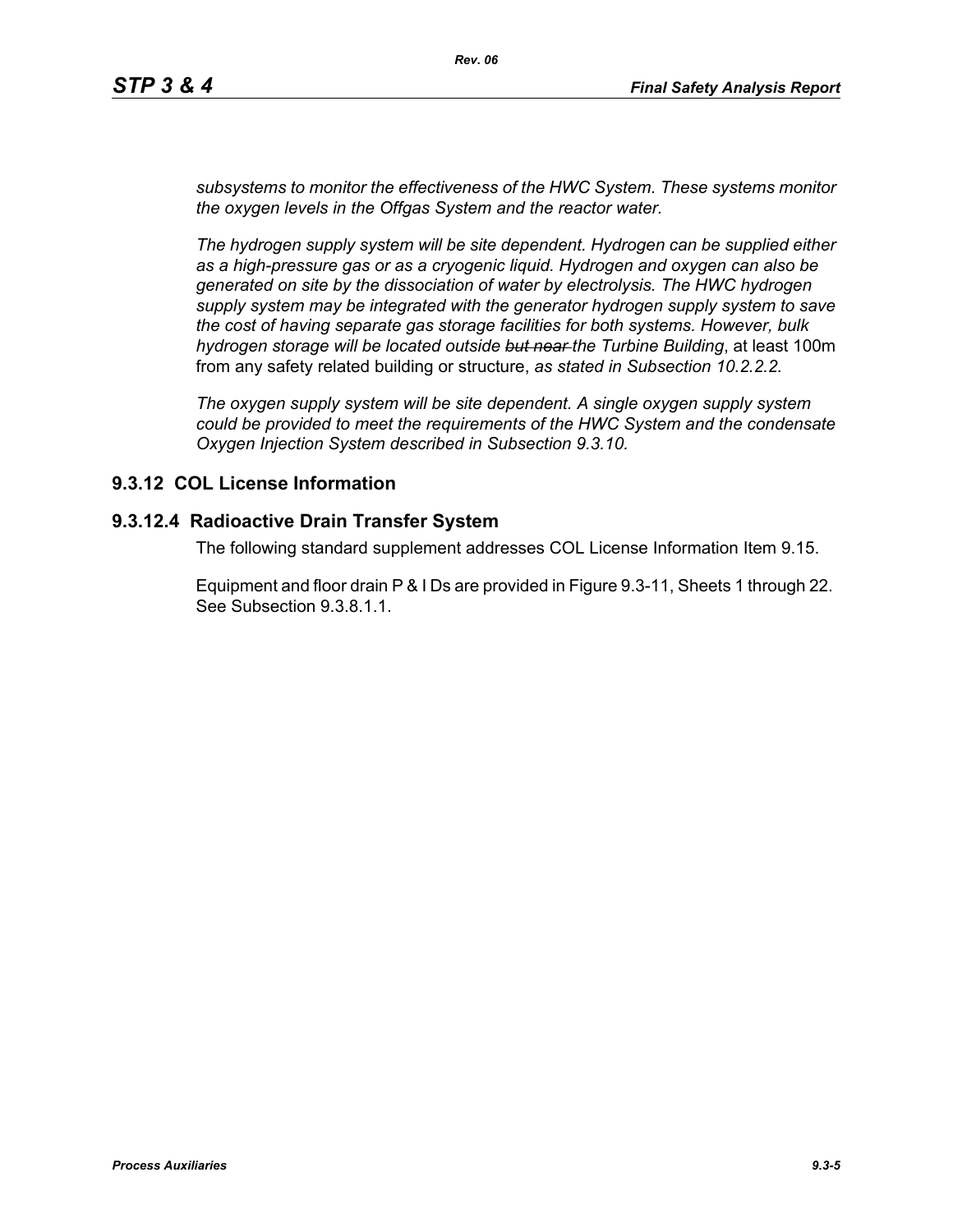*subsystems to monitor the effectiveness of the HWC System. These systems monitor the oxygen levels in the Offgas System and the reactor water.*

*The hydrogen supply system will be site dependent. Hydrogen can be supplied either as a high-pressure gas or as a cryogenic liquid. Hydrogen and oxygen can also be generated on site by the dissociation of water by electrolysis. The HWC hydrogen supply system may be integrated with the generator hydrogen supply system to save the cost of having separate gas storage facilities for both systems. However, bulk hydrogen storage will be located outside but near the Turbine Building*, at least 100m from any safety related building or structure, *as stated in Subsection 10.2.2.2.*

*The oxygen supply system will be site dependent. A single oxygen supply system could be provided to meet the requirements of the HWC System and the condensate Oxygen Injection System described in Subsection 9.3.10.*

# **9.3.12 COL License Information**

## **9.3.12.4 Radioactive Drain Transfer System**

The following standard supplement addresses COL License Information Item 9.15.

Equipment and floor drain P & I Ds are provided in Figure 9.3-11, Sheets 1 through 22. See Subsection 9.3.8.1.1.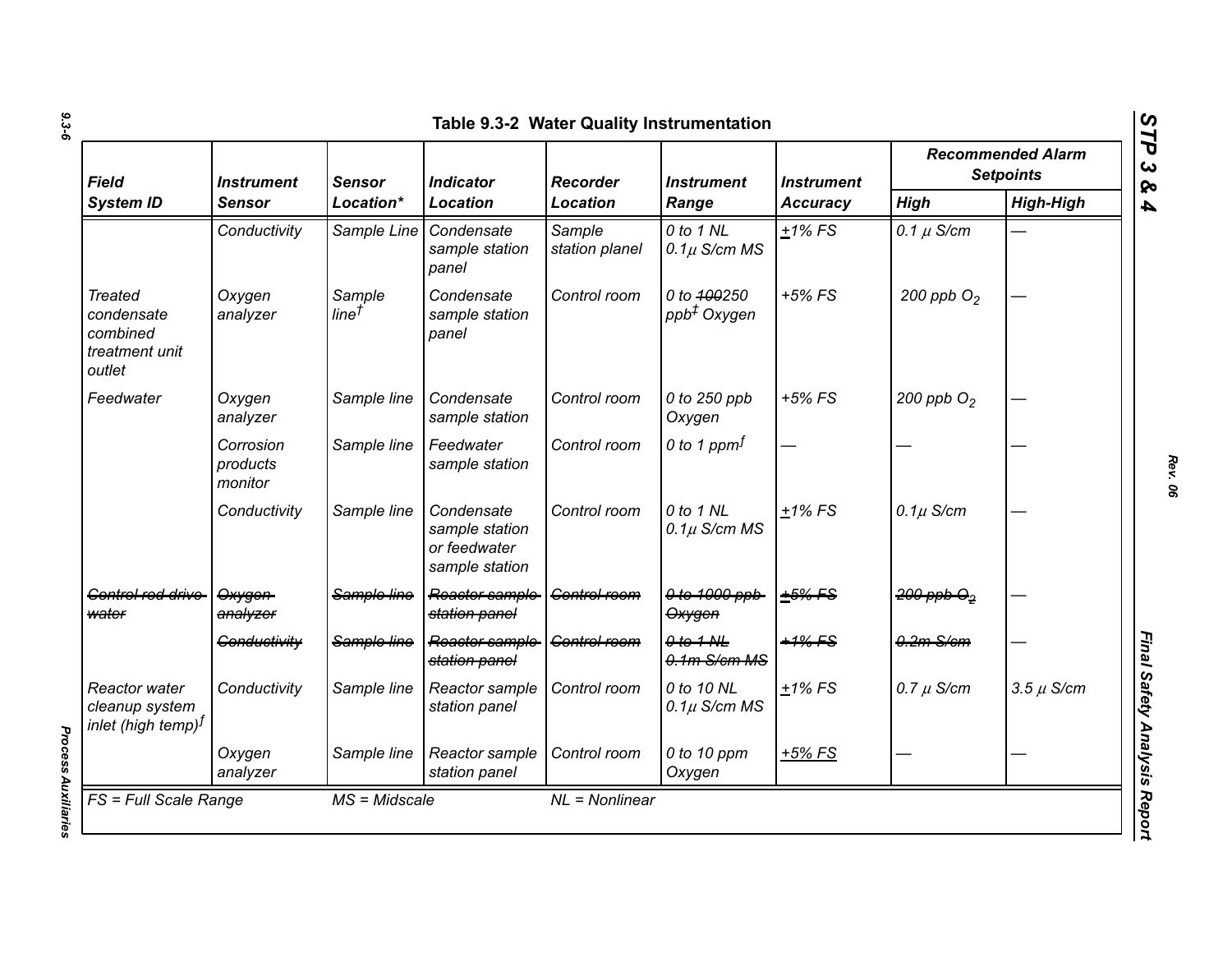| Field<br><b>System ID</b>                                            | <i><b>Instrument</b></i><br>Sensor | <b>Sensor</b><br>Location*  | <b>Indicator</b><br><b>Location</b>                            | <b>Recorder</b><br><b>Location</b> | <i><b>Instrument</b></i><br>Range      | <b>Instrument</b><br><b>Accuracy</b> | <b>Recommended Alarm</b><br><b>Setpoints</b> |                  |
|----------------------------------------------------------------------|------------------------------------|-----------------------------|----------------------------------------------------------------|------------------------------------|----------------------------------------|--------------------------------------|----------------------------------------------|------------------|
|                                                                      |                                    |                             |                                                                |                                    |                                        |                                      | <b>High</b>                                  | <b>High-High</b> |
|                                                                      | Conductivity                       | Sample Line                 | Condensate<br>sample station<br>panel                          | Sample<br>station planel           | 0 to 1 NL<br>$0.1\mu$ S/cm MS          | $+1\%$ FS                            | 0.1 $\mu$ S/cm                               |                  |
| <b>Treated</b><br>condensate<br>combined<br>treatment unit<br>outlet | Oxygen<br>analyzer                 | Sample<br>line <sup>†</sup> | Condensate<br>sample station<br>panel                          | Control room                       | 0 to 400250<br>ppb <sup>+</sup> Oxygen | $+5%$ FS                             | 200 ppb $O2$                                 |                  |
| Feedwater                                                            | Oxygen<br>analyzer                 | Sample line                 | Condensate<br>sample station                                   | Control room                       | 0 to 250 ppb<br>Oxygen                 | $+5\%$ FS                            | 200 ppb $O2$                                 |                  |
|                                                                      | Corrosion<br>products<br>monitor   | Sample line                 | Feedwater<br>sample station                                    | Control room                       | 0 to 1 ppm $f$                         |                                      |                                              |                  |
|                                                                      | Conductivity                       | Sample line                 | Condensate<br>sample station<br>or feedwater<br>sample station | Control room                       | 0 to 1 NL<br>$0.1\mu$ S/cm MS          | $+1\%$ FS                            | $0.1\mu$ S/cm                                |                  |
| Gentrel red drive<br>water                                           | Oxygen<br>analyzer                 | Sample line                 | Reactor sample<br>station panel                                | Control room                       | 0 to 1000 ppb<br>Oxygen                | $+5%$ FS                             | $200$ ppb $\Theta_2$                         |                  |
|                                                                      | Conductivity                       | Sample line                 | Reactor sample<br>station panel                                | <b>Control room</b>                | $0$ to $1$ NL<br>$0.1m$ S/cm MS        | $+1\%$ FS                            | $0.2m-S/cm$                                  |                  |
| Reactor water<br>cleanup system<br>$ $ inlet (high temp) $^f$        | Conductivity                       | Sample line                 | Reactor sample<br>station panel                                | Control room                       | 0 to 10 NL<br>$0.1\mu$ S/cm MS         | $+1\%$ FS                            | $0.7 \mu$ S/cm                               | $3.5 \mu$ S/cm   |
|                                                                      | Oxygen<br>analyzer                 | Sample line                 | Reactor sample<br>station panel                                | Control room                       | 0 to 10 ppm<br>Oxygen                  | $+5%$ FS                             |                                              |                  |

**Process Auxiliaries** *Process Auxiliaries* 

*Rev. 06*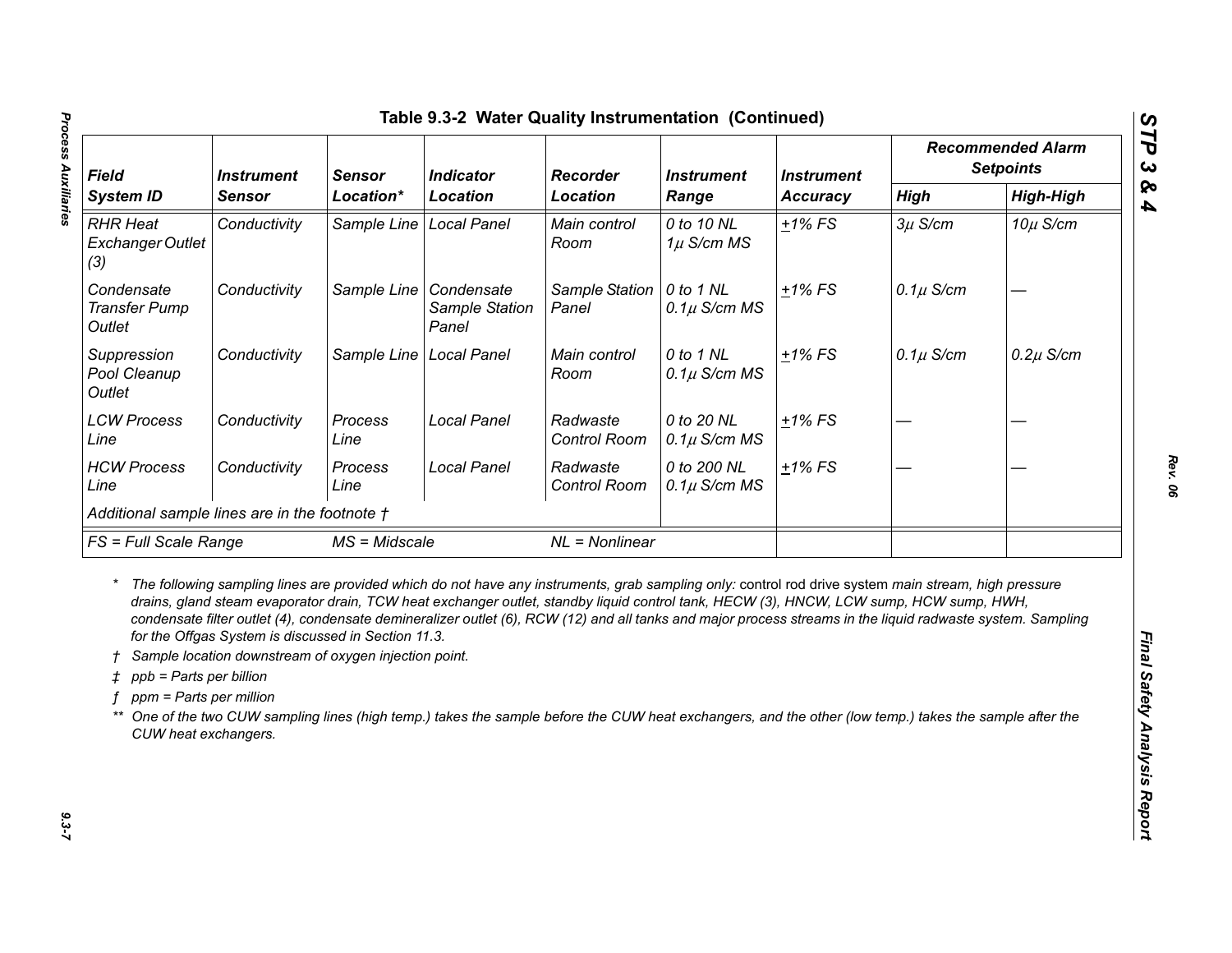| <b>Field</b><br><b>System ID</b>                                                                   | <b>Instrument</b><br><b>Sensor</b><br>Location*<br><b>Sensor</b>                                             |                             | <b>Indicator</b>                      | Recorder                                                                                                                                                                                                                                                                                                                                                                                                                                                                                                                                                                                                              | <b>Instrument</b>               | <b>Instrument</b> | <b>Recommended Alarm</b><br><b>Setpoints</b> |               |
|----------------------------------------------------------------------------------------------------|--------------------------------------------------------------------------------------------------------------|-----------------------------|---------------------------------------|-----------------------------------------------------------------------------------------------------------------------------------------------------------------------------------------------------------------------------------------------------------------------------------------------------------------------------------------------------------------------------------------------------------------------------------------------------------------------------------------------------------------------------------------------------------------------------------------------------------------------|---------------------------------|-------------------|----------------------------------------------|---------------|
|                                                                                                    |                                                                                                              | <b>Location</b><br>Location | Range                                 | <b>Accuracy</b>                                                                                                                                                                                                                                                                                                                                                                                                                                                                                                                                                                                                       | <b>High</b>                     | <b>High-High</b>  |                                              |               |
| <b>RHR Heat</b><br>Exchanger Outlet<br>(3)                                                         | Conductivity                                                                                                 | Sample Line                 | <b>Local Panel</b>                    | Main control<br>Room                                                                                                                                                                                                                                                                                                                                                                                                                                                                                                                                                                                                  | 0 to 10 NL<br>$1\mu$ S/cm MS    | $+1\%$ FS         | $3\mu$ S/cm                                  | $10\mu$ S/cm  |
| Condensate<br><b>Transfer Pump</b><br>Outlet                                                       | Conductivity                                                                                                 | Sample Line                 | Condensate<br>Sample Station<br>Panel | Sample Station<br>Panel                                                                                                                                                                                                                                                                                                                                                                                                                                                                                                                                                                                               | 0 to 1 NL<br>$0.1\mu$ S/cm MS   | $+1\%$ FS         | $0.1\mu$ S/cm                                |               |
| Suppression<br>Pool Cleanup<br>Outlet                                                              | Conductivity                                                                                                 | Sample Line                 | <b>Local Panel</b>                    | Main control<br>Room                                                                                                                                                                                                                                                                                                                                                                                                                                                                                                                                                                                                  | 0 to 1 NL<br>$0.1\mu$ S/cm MS   | $+1\%$ FS         | $0.1\mu$ S/cm                                | $0.2\mu$ S/cm |
| <b>LCW Process</b><br>Line                                                                         | Conductivity                                                                                                 | Process<br>Line             | <b>Local Panel</b>                    | Radwaste<br>Control Room                                                                                                                                                                                                                                                                                                                                                                                                                                                                                                                                                                                              | 0 to 20 NL<br>$0.1\mu$ S/cm MS  | $±1\%$ FS         |                                              |               |
| <b>HCW Process</b><br>Line                                                                         | Conductivity                                                                                                 | Process<br>Line             | <b>Local Panel</b>                    | Radwaste<br>Control Room                                                                                                                                                                                                                                                                                                                                                                                                                                                                                                                                                                                              | 0 to 200 NL<br>$0.1\mu$ S/cm MS | $±1\%$ FS         |                                              |               |
| Additional sample lines are in the footnote †                                                      |                                                                                                              |                             |                                       |                                                                                                                                                                                                                                                                                                                                                                                                                                                                                                                                                                                                                       |                                 |                   |                                              |               |
|                                                                                                    | <b>FS</b> = Full Scale Range<br>$MS = Midscale$                                                              |                             | $NL = Nonlinear$                      |                                                                                                                                                                                                                                                                                                                                                                                                                                                                                                                                                                                                                       |                                 |                   |                                              |               |
| $^\star$<br>$\pm$ ppb = Parts per billion<br>ppm = Parts per million<br>**<br>CUW heat exchangers. | for the Offgas System is discussed in Section 11.3.<br>Sample location downstream of oxygen injection point. |                             |                                       | The following sampling lines are provided which do not have any instruments, grab sampling only: control rod drive system main stream, high pressure<br>drains, gland steam evaporator drain, TCW heat exchanger outlet, standby liquid control tank, HECW (3), HNCW, LCW sump, HCW sump, HWH,<br>condensate filter outlet (4), condensate demineralizer outlet (6), RCW (12) and all tanks and major process streams in the liquid radwaste system. Sampling<br>One of the two CUW sampling lines (high temp.) takes the sample before the CUW heat exchangers, and the other (low temp.) takes the sample after the |                                 |                   |                                              |               |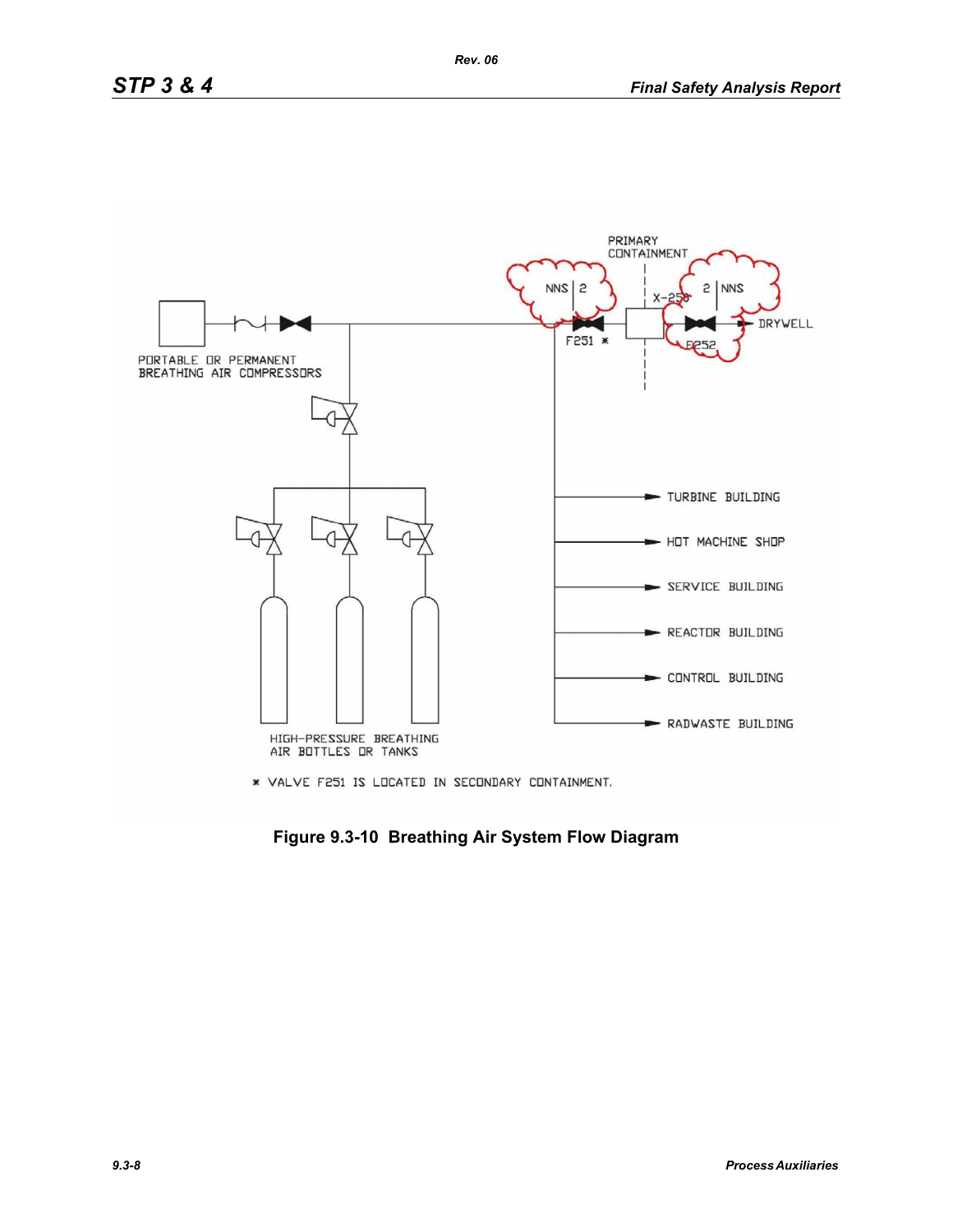

\* VALVE F251 IS LOCATED IN SECONDARY CONTAINMENT.

**Figure 9.3-10 Breathing Air System Flow Diagram**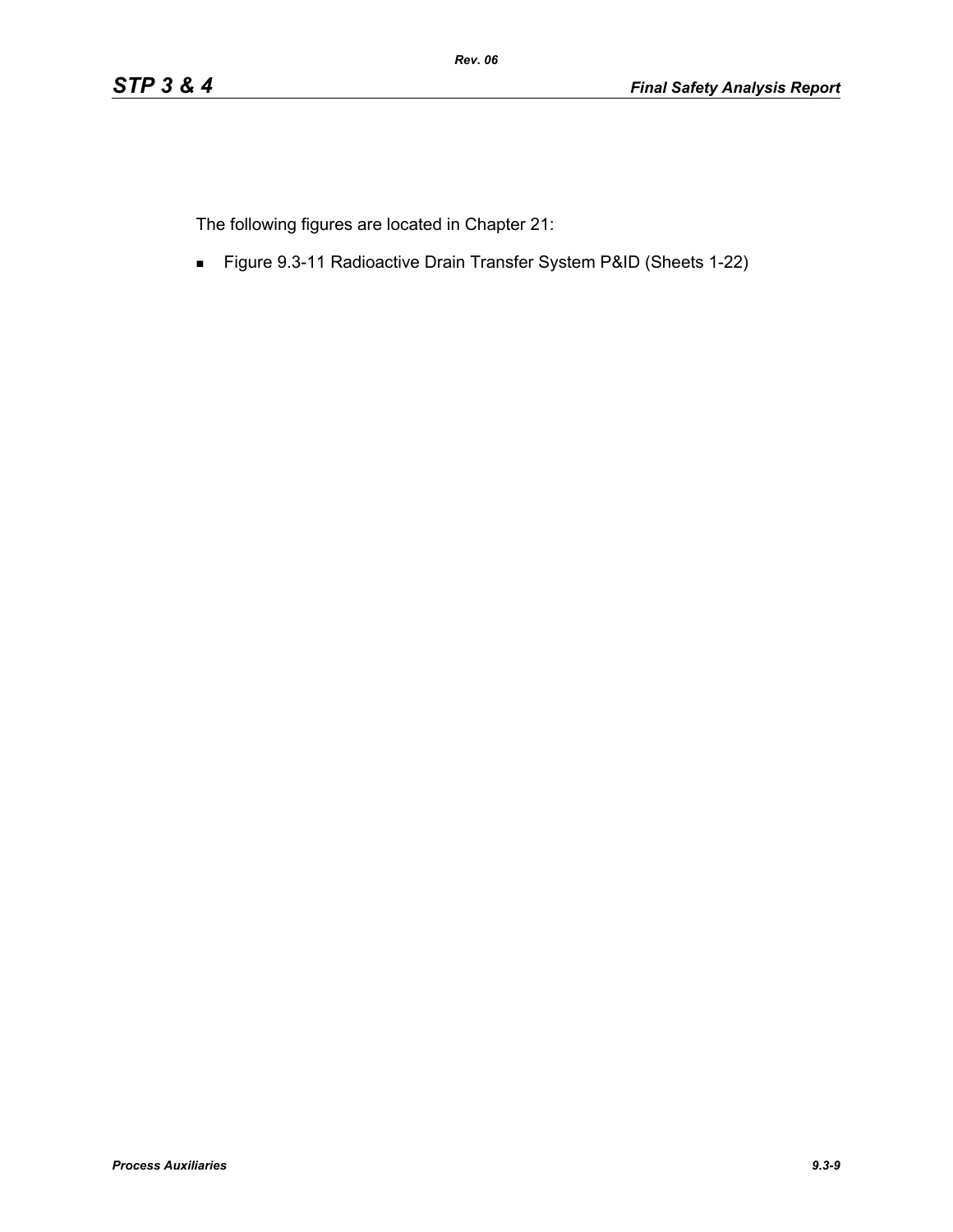The following figures are located in Chapter 21:

Figure 9.3-11 Radioactive Drain Transfer System P&ID (Sheets 1-22)